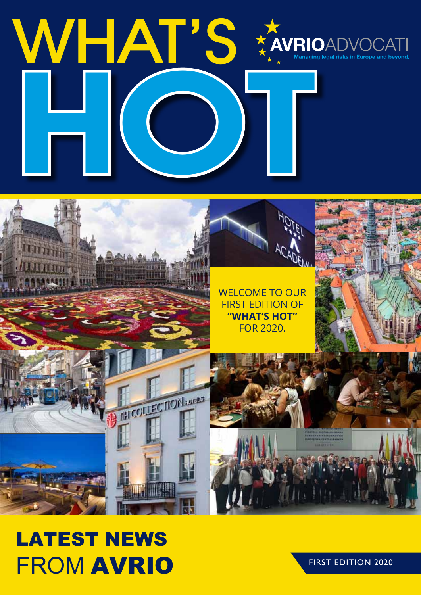# WHAT'S WELCOW

## WELCOME TO OUR FIRST EDITION OF **"WHAT'S HOT"** FOR 2020.**TELECTION**

## *LATEST NEWS FROM AVRIO*

FIRST EDITION 2020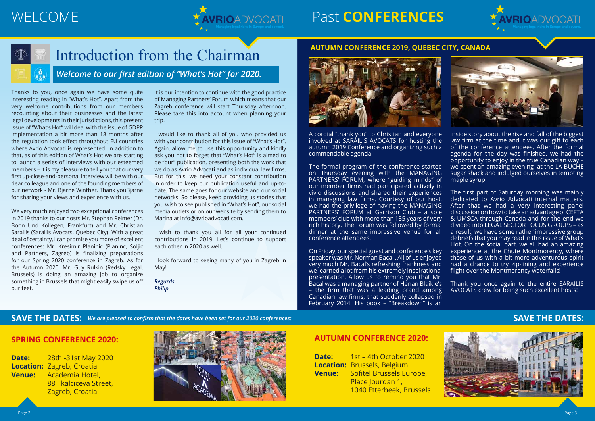

## WELCOME **AWRIOADVOCATI** Past **CONFERENCES**



A cordial "thank you" to Christian and everyone involved at SARAILIS AVOCATS for hosting the autumn 2019 Conference and organizing such a commendable agenda.

The formal program of the conference started on Thursday evening with the MANAGING PARTNERS' FORUM, where "guiding minds" of our member firms had participated actively in vivid discussions and shared their experiences in managing law firms. Courtesy of our host, we had the privilege of having the MANAGING PARTNERS' FORUM at Garrison Club – a sole members' club with more than 135 years of very rich history. The Forum was followed by formal dinner at the same impressive venue for all conference attendees.

inside story about the rise and fall of the biggest law firm at the time and it was our gift to each of the conference attendees. After the formal agenda for the day was finished, we had the opportunity to enjoy in the true Canadian way – we spent an amazing evening at the LA BUCHE sugar shack and indulged ourselves in tempting maple syrup.

On Friday, our special guest and conference's key speaker was Mr. Norman Bacal . All of us enjoyed very much Mr. Bacal's refreshing frankness and we learned a lot from his extremely inspirational presentation. Allow us to remind you that Mr. Bacal was a managing partner of Henan Blaikie's – the firm that was a leading brand among Canadian law firms, that suddenly collapsed in February 2014. His book – "Breakdown" is an experience at the Chute Montmorency, where those of us with a bit more adventurous spirit had a chance to try zip-lining and experience flight over the Montmorency waterfalls! Thank you once again to the entire SARAILIS AVOCATS crew for being such excellent hosts!

**SAVE THE DATES:** We are pleased to confirm that the dates have been set for our 2020 conferences: **SAVE THE DATES:** 

The first part of Saturday morning was mainly dedicated to Avrio Advocati internal matters. After that we had a very interesting panel discussion on how to take an advantage of CEFTA & UMSCA through Canada and for the end we divided into LEGAL SECTOR FOCUS GROUPS – as a result, we have some rather impressive group debriefs that you may read in this issue of What's Hot. On the social part, we all had an amazing

#### **AUTUMN CONFERENCE 2019, QUEBEC CITY, CANADA**



*Welcome to our first edition of "What's Hot" for 2020.* 

## Introduction from the Chairman

Thanks to you, once again we have some quite interesting reading in "What's Hot". Apart from the very welcome contributions from our members recounting about their businesses and the latest legal developments in their jurisdictions, this present issue of "What's Hot" will deal with the issue of GDPR implementation a bit more than 18 months after the regulation took effect throughout EU countries where Avrio Advocati is represented. In addition to that, as of this edition of What's Hot we are starting to launch a series of interviews with our esteemed members – it is my pleasure to tell you that our very first up-close-and-personal interview will be with our dear colleague and one of the founding members of our network - Mr. Bjarne Winther. Thank youBjarne for sharing your views and experience with us.

We very much enjoyed two exceptional conferences in 2019 thanks to our hosts Mr. Stephan Reimer (Dr. Bonn Und Kollegen, Frankfurt) and Mr. Christian Sarailis (Sarailis Avocats, Quebec City). With a great deal of certainty, I can promise you more of excellent conferences: Mr. Kresimir Planinic (Planinc, Soljic and Partners, Zagreb) is finalizing preparations for our Spring 2020 conference in Zagreb. As for the Autumn 2020, Mr. Guy Rulkin (Redsky Legal, Brussels) is doing an amazing job to organize something in Brussels that might easily swipe us off our feet.

It is our intention to continue with the good practice of Managing Partners' Forum which means that our Zagreb conference will start Thursday afternoon. Please take this into account when planning your trip.

I would like to thank all of you who provided us with your contribution for this issue of "What's Hot". Again, allow me to use this opportunity and kindly ask you not to forget that "What's Hot" is aimed to be "our" publication, presenting both the work that we do as Avrio Advocati and as individual law firms. But for this, we need your constant contribution in order to keep our publication useful and up-todate. The same goes for our website and our social networks. So please, keep providing us stories that you wish to see published in "What's Hot", our social media outlets or on our website by sending them to Marina at info@avrioadvocati.com.

I wish to thank you all for all your continued contributions in 2019. Let's continue to support each other in 2020 as well.

I look forward to seeing many of you in Zagreb in May!

*Regards Philip*





#### **SPRING CONFERENCE 2020:**

**Date:** 28th -31st May 2020 **Location:** Zagreb, Croatia **Venue:** Academia Hotel, 88 Tkalciceva Street, Zagreb, Croatia



#### **AUTUMN CONFERENCE 2020:**

| Date:         | 1st - 4th October 2020             |
|---------------|------------------------------------|
|               | <b>Location: Brussels, Belgium</b> |
| <b>Venue:</b> | Sofitel Brussels Europe,           |
|               | Place Jourdan 1,                   |
|               | 1040 Etterbeek, Brussels           |

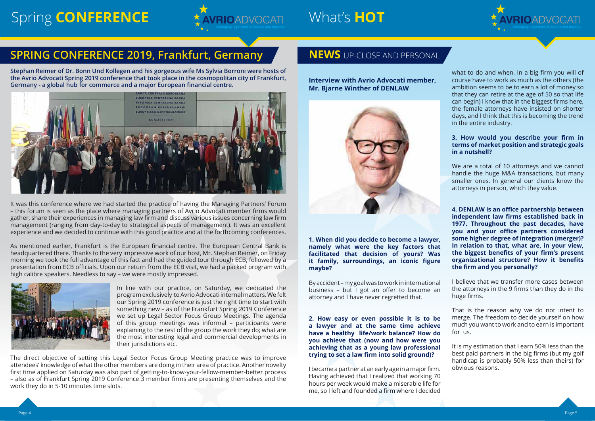## Spring CONFERENCE **Manual System** What's HOT



### **SPRING CONFERENCE 2019, Frankfurt, Germany <b>NEWS** UP-CLOSE AND PERSONAL

**Stephan Reimer of Dr. Bonn Und Kollegen and his gorgeous wife Ms Sylvia Borroni were hosts of the Avrio Advocati Spring 2019 conference that took place in the cosmopolitan city of Frankfurt, Germany - a global hub for commerce and a major European financial centre.**



It was this conference where we had started the practice of having the Managing Partners' Forum – this forum is seen as the place where managing partners of Avrio Advocati member firms would gather, share their experiences in managing law firm and discuss various issues concerning law firm management (ranging from day-to-day to strategical aspects of management). It was an excellent experience and we decided to continue with this good practice and at the forthcoming conferences.

As mentioned earlier, Frankfurt is the European financial centre. The European Central Bank is headquartered there. Thanks to the very impressive work of our host, Mr. Stephan Reimer, on Friday morning we took the full advantage of this fact and had the guided tour through ECB, followed by a presentation from ECB officials. Upon our return from the ECB visit, we had a packed program with high calibre speakers. Needless to say – we were mostly impressed.



In line with our practice, on Saturday, we dedicated the program exclusively to Avrio Advocati internal matters. We felt our Spring 2019 conference is just the right time to start with something new – as of the Frankfurt Spring 2019 Conference we set up Legal Sector Focus Group Meetings. The agenda of this group meetings was informal – participants were explaining to the rest of the group the work they do; what are the most interesting legal and commercial developments in their jurisdictions etc.

The direct objective of setting this Legal Sector Focus Group Meeting practice was to improve attendees' knowledge of what the other members are doing in their area of practice. Another novelty first time applied on Saturday was also part of getting-to-know-your-fellow-member-better process – also as of Frankfurt Spring 2019 Conference 3 member firms are presenting themselves and the work they do in 5-10 minutes time slots.

**Interview with Avrio Advocati member, Mr. Bjarne Winther of DENLAW**



**1. When did you decide to become a lawyer, namely what were the key factors that facilitated that decision of yours? Was it family, surroundings, an iconic figure maybe?** 

By accident – my goal was to work in international business – but I got an offer to become an attorney and I have never regretted that.

**2. How easy or even possible it is to be a lawyer and at the same time achieve have a healthy life/work balance? How do you achieve that (now and how were you achieving that as a young law professional trying to set a law firm into solid ground)?**

I became a partner at an early age in a major firm. Having achieved that I realized that working 70 hours per week would make a miserable life for me, so I left and founded a firm where I decided



what to do and when. In a big firm you will of course have to work as much as the others (the ambition seems to be to earn a lot of money so that they can retire at the age of 50 so that life can begin) I know that in the biggest firms here, the female attorneys have insisted on shorter days, and I think that this is becoming the trend in the entire industry.

#### **3. How would you describe your firm in terms of market position and strategic goals in a nutshell?**

We are a total of 10 attorneys and we cannot handle the huge M&A transactions, but many smaller ones. In general our clients know the attorneys in person, which they value.

**4. DENLAW is an office partnership between independent law firms established back in 1977. Throughout the past decades, have you and your office partners considered some higher degree of integration (merger)? In relation to that, what are, in your view, the biggest benefits of your firm's present organizational structure? How it benefits the firm and you personally?** 

I believe that we transfer more cases between the attorneys in the 9 firms than they do in the huge firms.

That is the reason why we do not intent to merge. The freedom to decide yourself on how much you want to work and to earn is important for us.

It is my estimation that I earn 50% less than the best paid partners in the big firms (but my golf handicap is probably 50% less than theirs) for obvious reasons.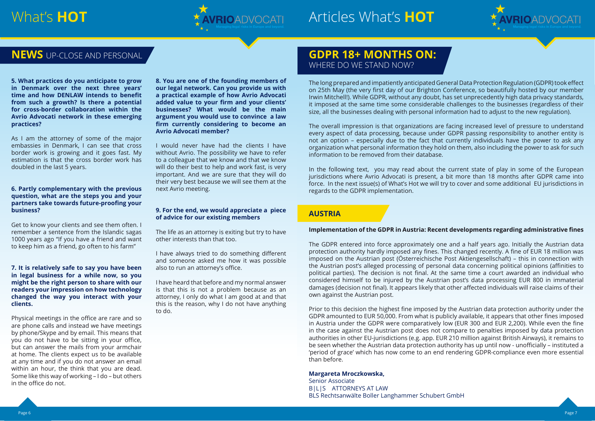

## What's HOT **ARKIMADYOCATI** Articles What's HOT

**5. What practices do you anticipate to grow in Denmark over the next three years' time and how DENLAW intends to benefit from such a growth? Is there a potential for cross-border collaboration within the Avrio Advocati network in these emerging practices?** 

As I am the attorney of some of the major embassies in Denmark, I can see that cross border work is growing and it goes fast. My estimation is that the cross border work has doubled in the last 5 years.

#### **6. Partly complementary with the previous question, what are the steps you and your partners take towards future-proofing your business?**

Get to know your clients and see them often. I remember a sentence from the Islandic sagas 1000 years ago "If you have a friend and want to keep him as a friend, go often to his farm"

#### **7. It is relatively safe to say you have been in legal business for a while now, so you might be the right person to share with our readers your impression on how technology changed the way you interact with your clients.**

Physical meetings in the office are rare and so are phone calls and instead we have meetings by phone/Skype and by email. This means that you do not have to be sitting in your office, but can answer the mails from your armchair at home. The clients expect us to be available at any time and if you do not answer an email within an hour, the think that you are dead. Some like this way of working – I do – but others in the office do not.

#### **NEWS** UP-CLOSE AND PERSONAL **GDPR 18+ MONTHS ON:** WHERE DO WE STAND NOW?

**8. You are one of the founding members of our legal network. Can you provide us with a practical example of how Avrio Advocati added value to your firm and your clients' businesses? What would be the main argument you would use to convince a law firm currently considering to become an Avrio Advocati member?**

I would never have had the clients I have without Avrio. The possibility we have to refer to a colleague that we know and that we know will do their best to help and work fast, is very important. And we are sure that they will do their very best because we will see them at the next Avrio meeting.

#### **9. For the end, we would appreciate a piece of advice for our existing members**

The life as an attorney is exiting but try to have other interests than that too.

I have always tried to do something different and someone asked me how it was possible also to run an attorney's office.

I have heard that before and my normal answer is that this is not a problem because as an attorney, I only do what I am good at and that this is the reason, why I do not have anything to do.

The long prepared and impatiently anticipated General Data Protection Regulation (GDPR) took effect on 25th May (the very first day of our Brighton Conference, so beautifully hosted by our member Irwin Mitchell!). While GDPR, without any doubt, has set unprecedently high data privacy standards, it imposed at the same time some considerable challenges to the businesses (regardless of their size, all the businesses dealing with personal information had to adjust to the new regulation).

The overall impression is that organizations are facing increased level of pressure to understand every aspect of data processing, because under GDPR passing responsibility to another entity is not an option – especially due to the fact that currently individuals have the power to ask any organization what personal information they hold on them, also including the power to ask for such information to be removed from their database.

In the following text, you may read about the current state of play in some of the European jurisdictions where Avrio Advocati is present, a bit more than 18 months after GDPR came into force. In the next issue(s) of What's Hot we will try to cover and some additional EU jurisdictions in regards to the GDPR implementation.

#### **AUSTRIA**

#### **Implementation of the GDPR in Austria: Recent developments regarding administrative fines**

The GDPR entered into force approximately one and a half years ago. Initially the Austrian data protection authority hardly imposed any fines. This changed recently. A fine of EUR 18 million was imposed on the Austrian post (Österreichische Post Aktiengesellschaft) – this in connection with the Austrian post's alleged processing of personal data concerning political opinions (affinities to political parties). The decision is not final. At the same time a court awarded an individual who considered himself to be injured by the Austrian post's data processing EUR 800 in immaterial damages (decision not final). It appears likely that other affected individuals will raise claims of their own against the Austrian post.

Prior to this decision the highest fine imposed by the Austrian data protection authority under the GDPR amounted to EUR 50,000. From what is publicly available, it appears that other fines imposed in Austria under the GDPR were comparatively low (EUR 300 and EUR 2,200). While even the fine in the case against the Austrian post does not compare to penalties imposed by data protection authorities in other EU-jurisdictions (e.g. app. EUR 210 million against British Airways), it remains to be seen whether the Austrian data protection authority has up until now - unofficially – instituted a 'period of grace' which has now come to an end rendering GDPR-compliance even more essential than before.

#### **Margareta Mroczkowska,**

Senior Associate B|L|S ATTORNEYS AT LAW BLS Rechtsanwälte Boller Langhammer Schubert GmbH

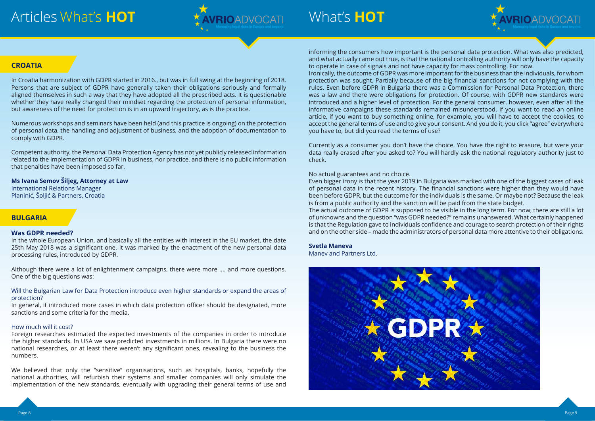



## What's **HOT**

informing the consumers how important is the personal data protection. What was also predicted, and what actually came out true, is that the national controlling authority will only have the capacity to operate in case of signals and not have capacity for mass controlling. For now. Ironically, the outcome of GDPR was more important for the business than the individuals, for whom protection was sought. Partially because of the big financial sanctions for not complying with the rules. Even before GDPR in Bulgaria there was a Commission for Personal Data Protection, there was a law and there were obligations for protection. Of course, with GDPR new standards were introduced and a higher level of protection. For the general consumer, however, even after all the informative campaigns these standards remained misunderstood. If you want to read an online article, if you want to buy something online, for example, you will have to accept the cookies, to accept the general terms of use and to give your consent. And you do it, you click "agree" everywhere you have to, but did you read the terms of use?

Currently as a consumer you don't have the choice. You have the right to erasure, but were your data really erased after you asked to? You will hardly ask the national regulatory authority just to check.

#### No actual guarantees and no choice.

Even bigger irony is that the year 2019 in Bulgaria was marked with one of the biggest cases of leak of personal data in the recent history. The financial sanctions were higher than they would have been before GDPR, but the outcome for the individuals is the same. Or maybe not? Because the leak is from a public authority and the sanction will be paid from the state budget. The actual outcome of GDPR is supposed to be visible in the long term. For now, there are still a lot of unknowns and the question "was GDPR needed?" remains unanswered. What certainly happened is that the Regulation gave to individuals confidence and courage to search protection of their rights and on the other side – made the administrators of personal data more attentive to their obligations.

**Svetla Maneva**

Manev and Partners Ltd.



#### **CROATIA**

In Croatia harmonization with GDPR started in 2016., but was in full swing at the beginning of 2018. Persons that are subject of GDPR have generally taken their obligations seriously and formally aligned themselves in such a way that they have adopted all the prescribed acts. It is questionable whether they have really changed their mindset regarding the protection of personal information, but awareness of the need for protection is in an upward trajectory, as is the practice.

Numerous workshops and seminars have been held (and this practice is ongoing) on the protection of personal data, the handling and adjustment of business, and the adoption of documentation to comply with GDPR.

Competent authority, the Personal Data Protection Agency has not yet publicly released information related to the implementation of GDPR in business, nor practice, and there is no public information that penalties have been imposed so far.

#### **Ms Ivana Semov Šiljeg, Attorney at Law**

International Relations Manager Planinić, Šoljić & Partners, Croatia

#### **BULGARIA**

#### **Was GDPR needed?**

In the whole European Union, and basically all the entities with interest in the EU market, the date 25th May 2018 was a significant one. It was marked by the enactment of the new personal data processing rules, introduced by GDPR.

Although there were a lot of enlightenment campaigns, there were more .... and more questions. One of the big questions was:

Will the Bulgarian Law for Data Protection introduce even higher standards or expand the areas of protection?

In general, it introduced more cases in which data protection officer should be designated, more sanctions and some criteria for the media.

#### How much will it cost?

Foreign researches estimated the expected investments of the companies in order to introduce the higher standards. In USA we saw predicted investments in millions. In Bulgaria there were no national researches, or at least there weren't any significant ones, revealing to the business the numbers.

We believed that only the "sensitive" organisations, such as hospitals, banks, hopefully the national authorities, will refurbish their systems and smaller companies will only simulate the implementation of the new standards, eventually with upgrading their general terms of use and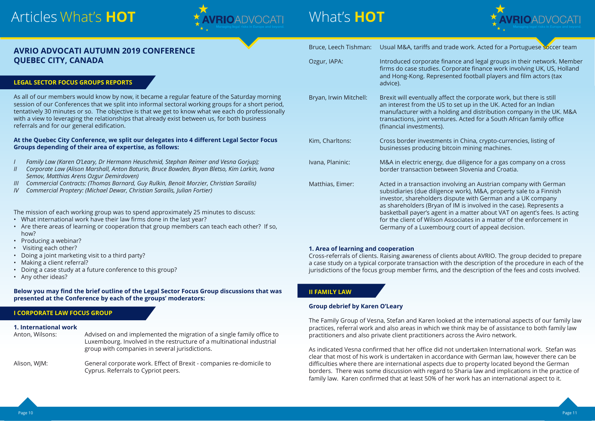

#### Bruce, Leech Tishman: Usual M&A, tariffs and trade work. Acted for a Portuguese soccer team

## Articles What's **HOT**



## What's **HOT**

| AVRIO ADVOCATI AUTUMN 2019 CONFERENCE |  |
|---------------------------------------|--|
| <b>QUEBEC CITY, CANADA</b>            |  |

#### **LEGAL SECTOR FOCUS GROUPS REPORTS**

As all of our members would know by now, it became a regular feature of the Saturday morning session of our Conferences that we split into informal sectoral working groups for a short period, tentatively 30 minutes or so. The objective is that we get to know what we each do professionally with a view to leveraging the relationships that already exist between us, for both business referrals and for our general edification.

#### **At the Quebec City Conference, we split our delegates into 4 different Legal Sector Focus Groups depending of their area of expertise, as follows:**

- *I Family Law (Karen O'Leary, Dr Hermann Heuschmid, Stephan Reimer and Vesna Gorjup);*
- *II Corporate Law (Alison Marshall, Anton Baturin, Bruce Bowden, Bryan Bletso, Kim Larkin, Ivana Semov, Matthias Arens Ozgur Demirdoven)*
- *III Commercial Contracts: (Thomas Barnard, Guy Rulkin, Benoit Morzier, Christian Sarailis)*
- *IV Commercial Proptery: (Michael Dewar, Christian Sarailis, Julian Fortier)*

The mission of each working group was to spend approximately 25 minutes to discuss:

Bryan, Irwin Mitchell: Brexit will eventually affect the corporate work, but there is still an interest from the US to set up in the UK. Acted for an Indian manufacturer with a holding and distribution company in the UK. M&A transactions, joint ventures. Acted for a South African family office (financial investments).

- What international work have their law firms done in the last year?
- Are there areas of learning or cooperation that group members can teach each other? If so, how?
- Producing a webinar?
- Visiting each other?
- Doing a joint marketing visit to a third party?
- Making a client referral?
- Doing a case study at a future conference to this group?
- Any other ideas?

#### **Below you may find the brief outline of the Legal Sector Focus Group discussions that was presented at the Conference by each of the groups' moderators:**

#### **I CORPORATE LAW FOCUS GROUP**

#### **1. International work**

Anton, Wilsons: Advised on and implemented the migration of a single family office to Luxembourg. Involved in the restructure of a multinational industrial group with companies in several jurisdictions. Alison, WJM: General corporate work. Effect of Brexit - companies re-domicile to

Cyprus. Referrals to Cypriot peers.

Ozgur, IAPA: Introduced corporate finance and legal groups in their network. Member firms do case studies. Corporate finance work involving UK, US, Holland and Hong-Kong. Represented football players and film actors (tax

advice).

Kim, Charltons: Cross border investments in China, crypto-currencies, listing of businesses producing bitcoin mining machines.

Ivana, Planinic: M&A in electric energy, due diligence for a gas company on a cross border transaction between Slovenia and Croatia.

Matthias, Eimer: Acted in a transaction involving an Austrian company with German subsidiaries (due diligence work), M&A, property sale to a Finnish investor, shareholders dispute with German and a UK company as shareholders (Bryan of IM is involved in the case). Represents a basketball payer's agent in a matter about VAT on agent's fees. Is acting for the client of Wilson Associates in a matter of the enforcement in Germany of a Luxembourg court of appeal decision.

#### **1. Area of learning and cooperation**

Cross-referrals of clients. Raising awareness of clients about AVRIO. The group decided to prepare a case study on a typical corporate transaction with the description of the procedure in each of the jurisdictions of the focus group member firms, and the description of the fees and costs involved.

#### **II FAMILY LAW**

#### **Group debrief by Karen O'Leary**

The Family Group of Vesna, Stefan and Karen looked at the international aspects of our family law practices, referral work and also areas in which we think may be of assistance to both family law practitioners and also private client practitioners across the Aviro network.

As indicated Vesna confirmed that her office did not undertaken International work. Stefan was clear that most of his work is undertaken in accordance with German law, however there can be difficulties where there are international aspects due to property located beyond the German borders. There was some discussion with regard to Sharia law and implications in the practice of family law. Karen confirmed that at least 50% of her work has an international aspect to it.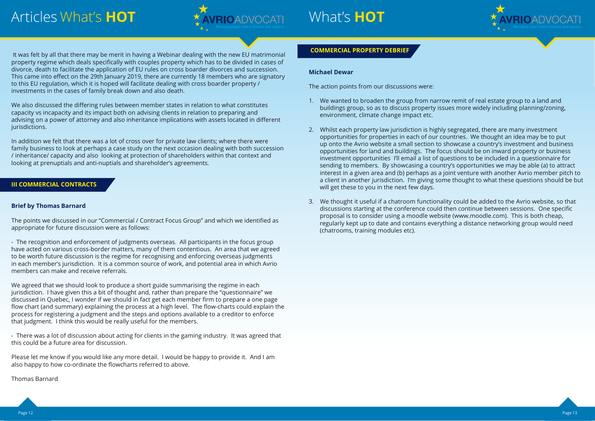

## What's **HOT**

We also discussed the differing rules between member states in relation to what constitutes capacity vs incapacity and its impact both on advising clients in relation to preparing and advising on a power of attorney and also inheritance implications with assets located in different jurisdictions.

 It was felt by all that there may be merit in having a Webinar dealing with the new EU matrimonial property regime which deals specifically with couples property which has to be divided in cases of divorce, death to facilitate the application of EU rules on cross boarder divorces and succession. This came into effect on the 29th January 2019, there are currently 18 members who are signatory to this EU regulation, which it is hoped will facilitate dealing with cross boarder property / investments in the cases of family break down and also death.

In addition we felt that there was a lot of cross over for private law clients; where there were family business to look at perhaps a case study on the next occasion dealing with both succession / inheritance/ capacity and also looking at protection of shareholders within that context and looking at prenuptials and anti-nuptials and shareholder's agreements.

#### **III COMMERCIAL CONTRACTS**

#### **Brief by Thomas Barnard**

The points we discussed in our "Commercial / Contract Focus Group" and which we identified as appropriate for future discussion were as follows:

- The recognition and enforcement of judgments overseas. All participants in the focus group have acted on various cross-border matters, many of them contentious. An area that we agreed to be worth future discussion is the regime for recognising and enforcing overseas judgments in each member's jurisdiction. It is a common source of work, and potential area in which Avrio members can make and receive referrals.

We agreed that we should look to produce a short guide summarising the regime in each jurisdiction. I have given this a bit of thought and, rather than prepare the "questionnaire" we discussed in Quebec, I wonder if we should in fact get each member firm to prepare a one page flow chart (and summary) explaining the process at a high level. The flow-charts could explain the process for registering a judgment and the steps and options available to a creditor to enforce that judgment. I think this would be really useful for the members.

- There was a lot of discussion about acting for clients in the gaming industry. It was agreed that this could be a future area for discussion.

Please let me know if you would like any more detail. I would be happy to provide it. And I am also happy to how co-ordinate the flowcharts referred to above.

Thomas Barnard

#### **COMMERCIAL PROPERTY DEBRIEF**

#### **Michael Dewar**

The action points from our discussions were:

- 1. We wanted to broaden the group from narrow remit of real estate group to a land and buildings group, so as to discuss property issues more widely including planning/zoning, environment, climate change impact etc.
- 2. Whilst each property law jurisdiction is highly segregated, there are many investment opportunities for properties in each of our countries. We thought an idea may be to put up onto the Avrio website a small section to showcase a country's investment and business opportunities for land and buildings. The focus should be on inward property or business investment opportunities I'll email a list of questions to be included in a questionnaire for sending to members. By showcasing a country's opportunities we may be able (a) to attract interest in a given area and (b) perhaps as a joint venture with another Avrio member pitch to will get these to you in the next few days.
- 3. We thought it useful if a chatroom functionality could be added to the Avrio website, so that discussions starting at the conference could then continue between sessions. One specific proposal is to consider using a moodle website (www.moodle.com). This is both cheap, regularly kept up to date and contains everything a distance networking group would need (chatrooms, training modules etc).



a client in another jurisdiction. I'm giving some thought to what these questions should be but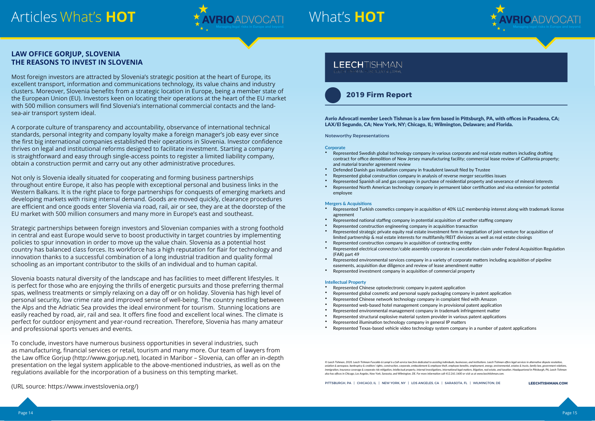





## What's **HOT**

#### **LAW OFFICE GORJUP, SLOVENIA THE REASONS TO INVEST IN SLOVENIA**

Most foreign investors are attracted by Slovenia's strategic position at the heart of Europe, its excellent transport, information and communications technology, its value chains and industry clusters. Moreover, Slovenia benefits from a strategic location in Europe, being a member state of the European Union (EU). Investors keen on locating their operations at the heart of the EU market with 500 million consumers will find Slovenia's international commercial contacts and the landsea-air transport system ideal.

A corporate culture of transparency and accountability, observance of international technical standards, personal integrity and company loyalty make a foreign manager's job easy ever since the first big international companies established their operations in Slovenia. Investor confidence thrives on legal and institutional reforms designed to facilitate investment. Starting a company is straightforward and easy through single-access points to register a limited liability company, obtain a construction permit and carry out any other administrative procedures.

Not only is Slovenia ideally situated for cooperating and forming business partnerships throughout entire Europe, it also has people with exceptional personal and business links in the Western Balkans. It is the right place to forge partnerships for conquests of emerging markets and developing markets with rising internal demand. Goods are moved quickly, clearance procedures are efficient and once goods enter Slovenia via road, rail, air or see, they are at the doorstep of the EU market with 500 million consumers and many more in Europe's east and southeast.

Strategic partnerships between foreign investors and Slovenian companies with a strong foothold in central and east Europe would serve to boost productivity in target countries by implementing policies to spur innovation in order to move up the value chain. Slovenia as a potential host country has balanced class forces. Its workforce has a high reputation for flair for technology and innovation thanks to a successful combination of a long industrial tradition and quality formal schooling as an important contributor to the skills of an individual and to human capital.

Slovenia boasts natural diversity of the landscape and has facilities to meet different lifestyles. It is perfect for those who are enjoying the thrills of energetic pursuits and those preferring thermal spas, wellness treatments or simply relaxing on a day off or on holiday. Slovenia has high level of personal security, low crime rate and improved sense of well-being. The country nestling between the Alps and the Adriatic Sea provides the ideal environment for tourism. Stunning locations are easily reached by road, air, rail and sea. It offers fine food and excellent local wines. The climate is perfect for outdoor enjoyment and year-round recreation. Therefore, Slovenia has many amateur and professional sports venues and events.

To conclude, investors have numerous business opportunities in several industries, such as manufacturing, financial services or retail, tourism and many more. Our team of lawyers from the Law office Gorjup (http://www.gorjup.net), located in Maribor – Slovenia, can offer an in-depth presentation on the legal system applicable to the above-mentioned industries, as well as on the regulations available for the incorporation of a business on this tempting market.

© Leech Tishman, 2020. Leech Tishman Fuscaldo & Lampl is a full-service law firm dedicated to assisting individuals, businesses, and institutions. Leech Tishman offers legal services in alternative dispute resolution, aviation & aerospace, bankruptcy & creditors' rights, construction, corporate, embezzlement & employee theft, employee benefits, employment, energy, environmental, estates & trusts, family law, governm immigration, insurance coverage & corporate risk mitigation, intellectual property, internal investigations, international legal matters, litigation, real estate, and taxation. Headquartered in Pittsburgh, PA, Leech Tishma *also has offices in Chicago, Los Angeles, New York, Sarasota, and Wilmington, DE. For more information call 412.261.1600 or visit us at www.leechtishman.com.*

(URL source: https://www.investslovenia.org/) **LEECHTISHMAN.COM**

#### **LEECHTISHMAN**

Avrio Advocati member Leech Tishman is a law firm based in Pittsburgh, PA, with offices in Pasadena, CA; LAX/El Segundo, CA; New York, NY; Chicago, IL; Wilmington, Delaware; and Florida.

Noteworthy Representations

#### **Corporate**

- Represented Swedish global technology company in various corporate and real estate matters including drafting contract for office demolition of New Jersey manufacturing facility; commercial lease review of California property; and material transfer agreement review
- Defended Danish gas installation company in fraudulent lawsuit filed by Trustee
- Represented global construction company in analysis of reverse merger securities issues
- Represented Spanish oil and gas company in purchase of residential property and severance of mineral interests
- Represented North American technology company in permanent labor certification and visa extension for potential employee

#### **Mergers & Acquisitions**

- Represented Turkish cosmetics company in acquisition of 40% LLC membership interest along with trademark license agreement
- Represented national staffing company in potential acquisition of another staffing company
- Represented construction engineering company in acquisition transaction Represented strategic private equity real estate investment firm in negotiation of joint venture for acquisition of
- limited partnership & real estate interests for multifamily/REIT divisions as well as real estate closings
- Represented construction company in acquisition of contracting entity Represented electrical connector/cable assembly corporate in cancellation claim under Federal Acquisition Regulation (FAR) part 49
- Represented environmental services company in a variety of corporate matters including acquisition of pipeline easements, acquisition due diligence and review of lease amendment matter
- Represented investment company in acquisition of commercial property



#### **Intellectual Property**

- Represented Chinese optoelectronic company in patent application
- Represented global cosmetic and personal supply packaging company in patent application
- Represented Chinese network technology company in complaint filed with Amazon
- Represented web-based hotel management company in provisional patent application
- Represented environmental management company in trademark infringement matter
- Represented structural explosive material system provider in various patent applications
- Represented illumination technology company in general IP matters
- Represented Texas-based vehicle video technology system company in a number of patent applications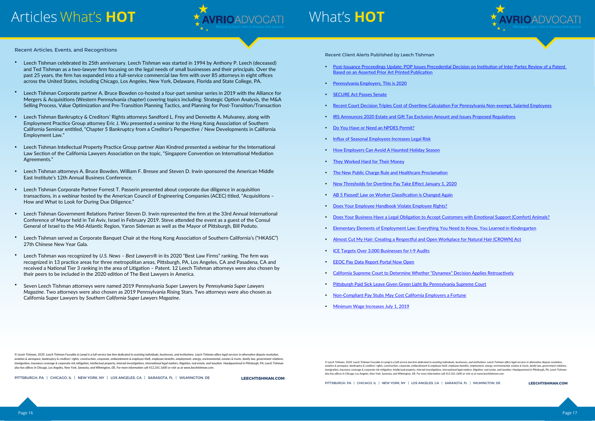



## What's **HOT**

across the United States, Events, and Recognitions across the United States, New York, Delaware, Chicago, Los A past 25 years, the firm has expanded into a full-service commercial law firm with over 85 attorneys in eight of

**LEECHTISHMAN.COM**

Recent Client Alerts Published by Leech Tishman

Post-Issuance Proceedings Update: POP Issues Precedential Decision on Institution of Inter Partes Review of a Patent

- Based on an Asserted Prior Art Printed Publication
- Pennsylvania Employers, This is 2020
- **SECURE Act Passes Senate**
- Recent Court Decision Triples Cost of Overtime Calculation For Pennsylvania Non-exempt, Salaried Employees
- IRS Announces 2020 Estate and Gift Tax Exclusion Amount and Issues Proposed Regulations
- Do You Have or Need an NPDES Permit?
- Influx of Seasonal Employees Increases Legal Risk
- How Employers Can Avoid A Haunted Holiday Season
- They Worked Hard for Their Money
- The New Public Charge Rule and Healthcare Proclamation
- New Thresholds for Overtime Pay Take Effect January 1, 2020
- AB 5 Passed! Law on Worker Classification is Changed Again
- Does Your Employee Handbook Violate Employee Rights?
- Does Your Business Have a Legal Obligation to Accept Customers with Emotional Support (Comfort) Animals?
- Elementary Elements of Employment Law: Everything You Need to Know, You Learned in Kindergarten
- Almost Cut My Hair: Creating a Respectful and Open Workplace for Natural Hair (CROWN) Act
- ICE Targets Over 3,000 Businesses for I-9 Audits
- EEOC Pay Data Report Portal Now Open
- California Supreme Court to Determine Whether "Dynamex" Decision Applies Retroactively
- Pittsburgh Paid Sick Leave Given Green Light By Pennsylvania Supreme Court
- Non-Compliant Pay Stubs May Cost California Employers a Fortune
- Minimum Wage Increases July 1, 2019

© Leech Tishman, 2020. Leech Tishman Fuscaldo & Lampl is a full-service law firm dedicated to assisting individuals, businesses, and institutions. Leech Tishman offers legal services in alternative dispute resolution, aviation & aerospace, bankruptcy & creditors' rights, construction, corporate, embezzlement & employee theft, employee benefits, employment, energy, environmental, estates & trusts, family law, governm .<br>Immigration, insurance coverage & corporate risk mitigation, intellectual property, internal investigations, international legal matters, litigation, real estate, and taxation. Headquartered in Pittsburgh, PA, Leech Tish *also has offices in Chicago, Los Angeles, New York, Sarasota, and Wilmington, DE. For more information call 412.261.1600 or visit us at www.leechtishman.com.*

• Leech Tishman celebrated its 25th anniversary. Leech Tishman was started in 1994 by Anthony P. Leech (deceased) and Ted Tishman as a two-lawyer firm focusing on the legal needs of small businesses and their principals. Over the past 25 years, the firm has expanded into a full-service commercial law firm with over 85 attorneys in eight offices across the United States, including Chicago, Los Angeles, New York, Delaware, Florida and State College, PA.

- Leech Tishman Corporate partner A. Bruce Bowden co-hosted a four-part seminar series in 2019 with the Alliance for Mergers & Acquisitions (Western Pennsylvania chapter) covering topics including: Strategic Option Analysis, the M&A Selling Process, Value Optimization and Pre-Transition Planning Tactics, and Planning for Post-Transition/Transaction
- Leech Tishman Bankruptcy & Creditors' Rights attorneys Sandford L. Frey and Dennette A. Mulvaney, along with Employment Practice Group attorney Eric J. Wu presented a seminar to the Hong Kong Association of Southern California Seminar entitled, "Chapter 5 Bankruptcy from a Creditor's Perspective / New Developments in California Employment Law."
- Leech Tishman Intellectual Property Practice Group partner Alan Kindred presented a webinar for the International Law Section of the California Lawyers Association on the topic, "Singapore Convention on International Mediation  $A$ greements."  $\blacksquare$
- Leech Tishman attorneys A. Bruce Bowden, William F. Bresee and Steven D. Irwin sponsored the American Middle East Institute's 12th Annual Business Conference.
- $\bullet$  Leech Tishman Corporate Partner Forrest T. Passerin presented about corporate due diligence in acquisition transactions, in a webinar hosted by the American Council of Engineering Companies (ACEC) titled, "Acquisitions – How and What to Look for During Due Diligence."
- Leech Tishman Government Relations Partner Steven D. Irwin represented the firm at the 33rd Annual International Conference of Mayor held in Tel Aviv, Israel in February 2019. Steve attended the event as a guest of the Consul General of Israel to the Mid-Atlantic Region, Yaron Sideman as well as the Mayor of Pittsburgh, Bill Peduto.
- Leech Tishman served as Corporate Banquet Chair at the Hong Kong Association of Southern California's ("HKASC") 27th Chinese New Year Gala. the 2020 edition of The 2020 edition of The 2020 edition of The Best Lawyers in America.
- Leech Tishman was recognized by U.S. News Best Lawyers® in its 2020 "Best Law Firms" ranking. The firm was recognized in 13 practice areas for three metropolitan areas, Pittsburgh, PA, Los Angeles, CA and Pasadena, CA and received a National Tier 3 ranking in the area of Litigation – Patent. 12 Leech Tishman attorneys were also chosen by their peers to be included in the 2020 edition of The Best Lawyers in America.
- Seven Leech Tishman attorneys were named 2019 Pennsylvania Super Lawyers by *Pennsylvania Super Lawyers Magazine*. Two attorneys were also chosen as 2019 Pennsylvania Rising Stars. Two attorneys were also chosen as California Super Lawyers by *Southern California Super Lawyers Magazine*.

© Leech Tishman, 2020. Leech Tishman Fuscaldo & Lampl is a full-service law firm dedicated to assisting individuals, businesses, and institutions. Leech Tishman offers legal services in alternative dispute resolution, *aviation & aerospace, bankruptcy & creditors' rights, construction, corporate, embezzlement & employee theft, employee benefits, employment, energy, environmental, estates & trusts, family law, government relations,* immigration, insurance coverage & corporate risk mitigation, intellectual property, internal investigations, international legal matters, litigation, real estate, and taxation. Headquartered in Pittsburgh, PA, Leech Tishma *also has offices in Chicago, Los Angeles, New York, Sarasota, and Wilmington, DE. For more information call 412.261.1600 or visit us at www.leechtishman.com.*

*also has offices in Chicago, Los Angeles, New York, Sarasota, and Wilmington, DE. For more information call 412.261.1600 or visit us at www.leechtishman.com.*

**LEECHTISHMAN.COM**

and Ted Tishman as a two-lawyer firm focusing on the legal needs of small businesses and their principals. Over the

PITTSBURGH, PA | CHICAGO, IL | NEW YORK, NY | LOS ANGELES, CA | SARASOTA, FL | WILMINGTON, DE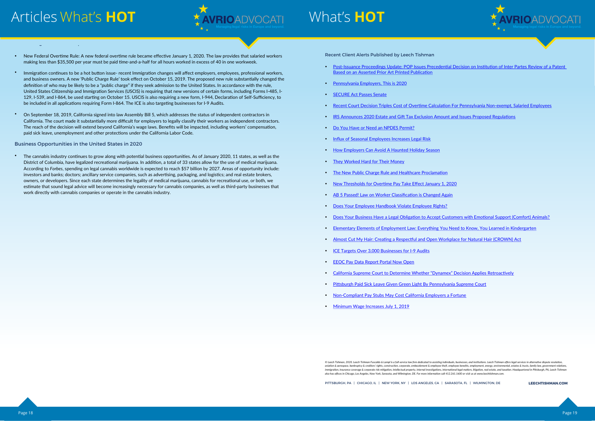



## What's **HOT**

**LEECHTISHMAN.COM**

Recent Client Alerts Published by Leech Tishman

Post-Issuance Proceedings Update: POP Issues Precedential Decision on Institution of Inter Partes Review of a Patent

- Based on an Asserted Prior Art Printed Publication
- Pennsylvania Employers, This is 2020
- **SECURE Act Passes Senate**
- Recent Court Decision Triples Cost of Overtime Calculation For Pennsylvania Non-exempt, Salaried Employees
- IRS Announces 2020 Estate and Gift Tax Exclusion Amount and Issues Proposed Regulations
- Do You Have or Need an NPDES Permit?
- **Influx of Seasonal Employees Increases Legal Risk**
- How Employers Can Avoid A Haunted Holiday Season
- They Worked Hard for Their Money
- The New Public Charge Rule and Healthcare Proclamation
- New Thresholds for Overtime Pay Take Effect January 1, 2020
- AB 5 Passed! Law on Worker Classification is Changed Again
- Does Your Employee Handbook Violate Employee Rights?
- Does Your Business Have a Legal Obligation to Accept Customers with Emotional Support (Comfort) Animals?
- Elementary Elements of Employment Law: Everything You Need to Know, You Learned in Kindergarten
- Almost Cut My Hair: Creating a Respectful and Open Workplace for Natural Hair (CROWN) Act
- ICE Targets Over 3,000 Businesses for I-9 Audits
- EEOC Pay Data Report Portal Now Open
- California Supreme Court to Determine Whether "Dynamex" Decision Applies Retroactively
- Pittsburgh Paid Sick Leave Given Green Light By Pennsylvania Supreme Court
- Non-Compliant Pay Stubs May Cost California Employers a Fortune
- Minimum Wage Increases July 1, 2019

#### Recent Legislative Developments in the United States

- New Federal Overtime Rule: A new federal overtime rule became effective January 1, 2020. The law provides that salaried workers making less than \$35,500 per year must be paid time-and-a-half for all hours worked in excess of 40 in one workweek.
- Immigration continues to be a hot button issue- recent Immigration changes will affect employers, employees, professional workers, and business owners. A new 'Public Charge Rule' took effect on October 15, 2019. The proposed new rule substantially changed the definition of who may be likely to be a "public charge" if they seek admission to the United States. In accordance with the rule, United States Citizenship and Immigration Services (USCIS) is requiring that new versions of certain forms, including Forms I-485, I-129, I-539, and I-864, be used starting on October 15. USCIS is also requiring a new form, I-944, Declaration of Self-Sufficiency, to be included in all applications requiring Form I-864. The ICE is also targeting businesses for I-9 Audits.
- On September 18, 2019, California signed into law Assembly Bill 5, which addresses the status of independent contractors in California. The court made it substantially more difficult for employers to legally classify their workers as independent contractors. The reach of the decision will extend beyond California's wage laws. Benefits will be impacted, including workers' compensation, paid sick leave, unemployment and other protections under the California Labor Code.

#### Business Opportunities in the United States in 2020

 The cannabis industry continues to grow along with potential business opportunities. As of January 2020, 11 states, as well as the District of Columbia, have legalized recreational marijuana. In addition, a total of 33 states allow for the use of medical marijuana. According to *Forbes*, spending on legal cannabis worldwide is expected to reach \$57 billion by 2027. Areas of opportunity include: investors and banks; doctors; ancillary service companies, such as advertising, packaging, and logistics; and real estate brokers, owners, or developers. Since each state determines the legality of medical marijuana, cannabis for recreational use, or both, we estimate that sound legal advice will become increasingly necessary for cannabis companies, as well as third-party businesses that work directly with cannabis companies or operate in the cannabis industry.

*also has offices in Chicago, Los Angeles, New York, Sarasota, and Wilmington, DE. For more information call 412.261.1600 or visit us at www.leechtishman.com.*

<sup>©</sup> Leech Tishman, 2020. Leech Tishman Fuscaldo & Lampl is a full-service law firm dedicated to assisting individuals, businesses, and institutions. Leech Tishman offers legal services in alternative dispute resolution, aviation & aerospace, bankruptcy & creditors' rights, construction, corporate, embezzlement & employee theft, employee benefits, employment, energy, environmental, estates & trusts, family law, governmental, estates & trus immigration, insurance coverage & corporate risk mitigation, intellectual property, internal investigations, international legal matters, litigation, real estate, and taxation. Headquartered in Pittsburgh, PA, Leech Tishma *also has offices in Chicago, Los Angeles, New York, Sarasota, and Wilmington, DE. For more information call 412.261.1600 or visit us at www.leechtishman.com.*